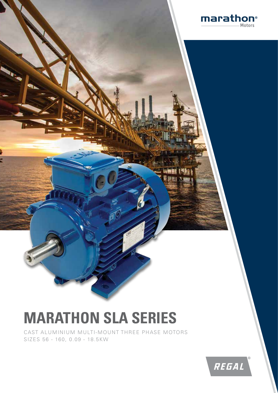

# **MARATHON SLA SERIES**

CAST ALUMINIUM MULTI-MOUNT THREE PHASE MOTORS SIZES 56 - 160, 0.09 - 18.5KW

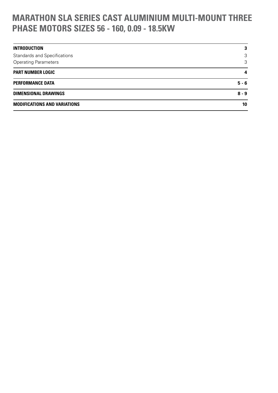# **MARATHON SLA SERIES CAST ALUMINIUM MULTI-MOUNT THREE PHASE MOTORS SIZES 56 - 160, 0.09 - 18.5KW**

| <b>INTRODUCTION</b>                 | 3                       |
|-------------------------------------|-------------------------|
| <b>Standards and Specifications</b> | 3                       |
| <b>Operating Parameters</b>         | 3                       |
| <b>PART NUMBER LOGIC</b>            | $\overline{\mathbf{4}}$ |
| <b>PERFORMANCE DATA</b>             | $5 - 6$                 |
| <b>DIMENSIONAL DRAWINGS</b>         | $8 - 9$                 |
| <b>MODIFICATIONS AND VARIATIONS</b> | 10                      |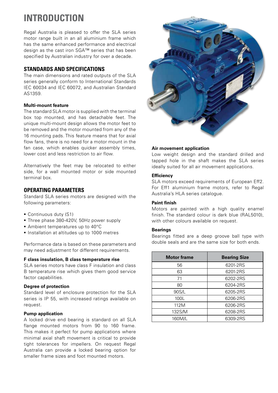# **INTRODUCTION**

Regal Australia is pleased to offer the SLA series motor range built in an all aluminium frame which has the same enhanced performance and electrical design as the cast iron SGA™ series that has been specified by Australian industry for over a decade.

### **STANDARDS AND SPECIFICATIONS**

The main dimensions and rated outputs of the SLA series generally conform to International Standards IEC 60034 and IEC 60072, and Australian Standard AS1359.

### **Multi-mount feature**

The standard SLA motor is supplied with the terminal box top mounted, and has detachable feet. The unique multi-mount design allows the motor feet to be removed and the motor mounted from any of the 16 mounting pads. This feature means that for axial flow fans, there is no need for a motor mount in the fan case, which enables quicker assembly times, lower cost and less restriction to air flow.

Alternatively the feet may be relocated to either side, for a wall mounted motor or side mounted terminal box.

# **OPERATING PARAMETERS**

Standard SLA series motors are designed with the following parameters:

- Continuous duty (S1)
- Three phase 380-420V, 50Hz power supply
- Ambient temperatures up to 40°C
- **Installation at altitudes up to 1000 metres**

Performance data is based on these parameters and may need adjustment for different requirements.

### **F class insulation, B class temperature rise**

SLA series motors have class F insulation and class B temperature rise which gives them good service factor capabilities.

### **Degree of protection**

Standard level of enclosure protection for the SLA series is IP 55, with increased ratings available on request.

### **Pump application**

A locked drive end bearing is standard on all SLA flange mounted motors from 90 to 160 frame. This makes it perfect for pump applications where minimal axial shaft movement is critical to provide tight tolerances for impellers. On request Regal Australia can provide a locked bearing option for smaller frame sizes and foot mounted motors.



### **Air movement application**

Low weight design and the standard drilled and tapped hole in the shaft makes the SLA series ideally suited for all air movement applications.

### **Efficiency**

SLA motors exceed requirements of European Eff2. For Eff1 aluminium frame motors, refer to Regal Australia's HLA series catalogue.

### **Paint finish**

Motors are painted with a high quality enamel finish. The standard colour is dark blue (RAL5010), with other colours available on request.

### **Bearings**

Bearings fitted are a deep groove ball type with double seals and are the same size for both ends.

| <b>Motor frame</b> | <b>Bearing Size</b> |  |  |  |
|--------------------|---------------------|--|--|--|
| 56                 | 6201-2RS            |  |  |  |
| 63                 | 6201-2RS            |  |  |  |
| 71                 | 6202-2RS            |  |  |  |
| 80                 | 6204-2RS            |  |  |  |
| 90S/L              | 6205-2RS            |  |  |  |
| 100L               | 6206-2RS            |  |  |  |
| 112M               | 6206-2RS            |  |  |  |
| 132S/M             | 6208-2RS            |  |  |  |
| 160M/L             | 6309-2RS            |  |  |  |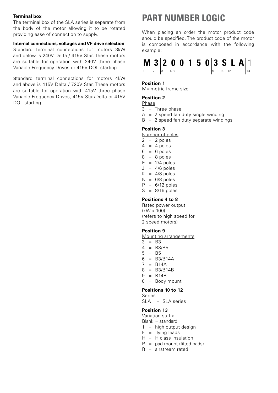### **Terminal box**

The terminal box of the SLA series is separate from the body of the motor allowing it to be rotated providing ease of connection to supply.

### **Internal connections, voltages and VF drive selection**

Standard terminal connections for motors 3kW and below is 240V Delta / 415V Star. These motors are suitable for operation with 240V three phase Variable Frequency Drives or 415V DOL starting.

Standard terminal connections for motors 4kW and above is 415V Delta / 720V Star. These motors are suitable for operation with 415V three phase Variable Frequency Drives, 415V Star/Delta or 415V DOL starting

# **PART NUMBER LOGIC**

When placing an order the motor product code should be specified. The product code of the motor is composed in accordance with the following example:



#### **Position 1**

M= metric frame size

### **Position 2**

### Phase

- $3 =$ Three phase
- $A = 2$  speed fan duty single winding
- $B = 2$  speed fan duty separate windings

### **Position 3**

Number of poles

- $2 = 2$  poles
- $4 = 4$  poles
- $6 = 6$  poles
- $8 = 8$  poles
- $E = 2/4$  poles
- $J = 4/6$  poles
- $K = 4/8$  poles
- $N = 6/8$  poles
- $P = 6/12$  poles
- $S = 8/16$  poles

### **Positions 4 to 8**

Rated power output (kW x 100) (refers to high speed for 2 speed motors)

### **Position 9**

Mounting arrangements

- $3 = B3$
- $4 = B3/B5$
- $5 = B5$
- $6 = B3/B14A$
- $7 = B14A$
- 8 = B3/B14B
- $9 = B14B$
- $0 =$  Body mount

### **Positions 10 to 12**

- Series
- SLA = SLA series

### **Position 13**

Variation suffix

- $Blank = standard$
- $1 =$  high output design
- $F = flying leads$
- $H = H$  class insulation
- $P =$  pad mount (fitted pads)
- $R =$ airstream rated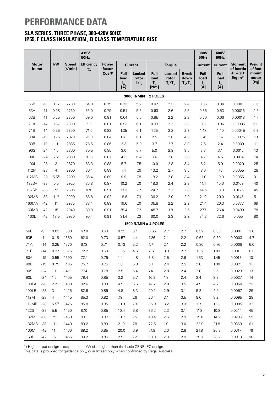# **PERFORMANCE DATA**

# **SLA SERIES, THREE PHASE, 380-420V 50HZ IP55, F CLASS INSULATION , B CLASS TEMPERATURE RISE**

|              |       |                |              | 415V<br><b>50Hz</b> |                      |                                           |                                         |                                        |                              |                                   | 380V<br><b>50Hz</b>                              | 400V<br>50Hz                                                                                      |                                                        |                                   |
|--------------|-------|----------------|--------------|---------------------|----------------------|-------------------------------------------|-----------------------------------------|----------------------------------------|------------------------------|-----------------------------------|--------------------------------------------------|---------------------------------------------------------------------------------------------------|--------------------------------------------------------|-----------------------------------|
| <b>Motor</b> |       | kW             | <b>Speed</b> | <b>Efficiency</b>   | <b>Power</b>         |                                           | <b>Current</b>                          |                                        | <b>Torque</b>                |                                   | <b>Current</b>                                   | <b>Current</b>                                                                                    | <b>Moment</b>                                          | Weight                            |
| frame        |       |                | [r/min]      | $\%$                | factor<br>Cos $\Phi$ | <b>Full</b><br>load<br>$I_{\rm N}$<br>[A] | <b>Locked</b><br>rotor<br>$I_{L}/I_{N}$ | <b>Full</b><br>load<br>$T_{N}$<br>[Nm] | Locked<br>rotor<br>$T_l/T_N$ | <b>Break</b><br>down<br>$T_B/T_N$ | Full<br>load<br>$\mathsf{I}_{\mathsf{N}}$<br>[A] | <b>Full</b><br>load<br>$\begin{bmatrix} \mathbf{I}_\text{N} \ \mathbf{I}\mathbf{A} \end{bmatrix}$ | of inertia<br>$J = \frac{1}{4}GD^2$<br>[ $kg \, m^2$ ] | of foot<br>mount<br>motor<br>[kg] |
|              |       |                |              |                     |                      |                                           | $3000$ R/MIN = 2 POLES                  |                                        |                              |                                   |                                                  |                                                                                                   |                                                        |                                   |
| 56B          | $-9$  | 0.12           | 2730         | 64.0                | 0.79                 | 0.33                                      | 5.2                                     | 0.42                                   | 2.3                          | 2.4                               | 0.36                                             | 0.34                                                                                              | 0.0001                                                 | 3.6                               |
| 63A          | $-11$ | 0.18           | 2730         | 65.0                | 0.79                 | 0.51                                      | 5.5                                     | 0.63                                   | 2.6                          | 2.6                               | 0.56                                             | 0.53                                                                                              | 0.00015                                                | 4.5                               |
| 63B          | $-11$ | 0.25           | 2800         | 69.0                | 0.81                 | 0.64                                      | 5.5                                     | 0.85                                   | 2.2                          | 2.3                               | 0.70                                             | 0.66                                                                                              | 0.00018                                                | 4.7                               |
| 71A          | $-14$ | 0.37           | 2800         | 71.0                | 0.81                 | 0.93                                      | 6.1                                     | 0.93                                   | 2.2                          | 2.3                               | 1.02                                             | 0.96                                                                                              | 0.00035                                                | 6.0                               |
| 71B          | $-14$ | 0.55           | 2800         | 74.0                | 0.82                 | 1.35                                      | 6.1                                     | 1.35                                   | 2.2                          | 2.3                               | 1.47                                             | 1.40                                                                                              | 0.00045                                                | 6.3                               |
| 80A          | $-19$ | 0.75           | 2820         | 76.0                | 0.84                 | 1.61                                      | 6.1                                     | 2.5                                    | 2.8                          | 4.0                               | 1.76                                             | 1.67                                                                                              | 0.00075                                                | 10                                |
| 80B          | $-19$ | 1.1            | 2835         | 78.5                | 0.86                 | 2.3                                       | 5.9                                     | 3.7                                    | 2.7                          | 3.0                               | 2.5                                              | 2.4                                                                                               | 0.0009                                                 | 11                                |
| 90S          | $-24$ | 1.5            | 2860         | 80.5                | 0.85                 | 3.0                                       | 6.7                                     | 5.0                                    | 2.9                          | 3.5                               | 3.3                                              | 3.1                                                                                               | 0.0012                                                 | 13                                |
| 90L          | $-24$ | 2.2            | 2830         | 81.8                | 0.87                 | 4.3                                       | 6.4                                     | 7.4                                    | 2.8                          | 2.8                               | 4.7                                              | 4.5                                                                                               | 0.0014                                                 | 14                                |
| 100L         | $-28$ | 3              | 2870         | 83.3                | 0.88                 | 5.7                                       | 7.5                                     | 10.0                                   | 2.8                          | 3.4                               | 6.2                                              | 5.9                                                                                               | 0.0029                                                 | 25                                |
| 112M         | $-28$ | $\overline{4}$ | 2900         | 86.1                | 0.89                 | 7.4                                       | 7.9                                     | 13.2                                   | 2.7                          | 3.5                               | 8.0                                              | 7.6                                                                                               | 0.0055                                                 | 28                                |
| 112MB        | $-28$ | $5.5^{1}$      | 2890         | 86.4                | 0.89                 | 9.9                                       | 7.8                                     | 18.2                                   | 2.8                          | 3.4                               | 11.0                                             | 10.0                                                                                              | 0.0055                                                 | 31                                |
| 132SA        | $-38$ | 5.5            | 2925         | 86.8                | 0.87                 | 10.2                                      | 7.0                                     | 18.0                                   | 2.4                          | 2.3                               | 11.1                                             | 10.6                                                                                              | 0.0109                                                 | 40                                |
| 132SB        | $-38$ | 7.5            | 2895         | 87.0                | 0.91                 | 13.3                                      | 7.2                                     | 24.7                                   | 2.1                          | 2.8                               | 14.5                                             | 13.8                                                                                              | 0.0126                                                 | 45                                |
| 132MB        | $-38$ | $11^{11}$      | 2900         | 88.8                | 0.92                 | 18.8                                      | 7.3                                     | 36.2                                   | 2.0                          | 2.9                               | 21.0                                             | 20.0                                                                                              | 0.0145                                                 | 51                                |
| 160MA        | $-42$ | 11             | 2935         | 88.4                | 0.89                 | 19.6                                      | 7.0                                     | 35.8                                   | 2.2                          | 2.9                               | 21.4                                             | 20.3                                                                                              | 0.0377                                                 | 69                                |
| 160MB        | -42   | 15             | 2940         | 89.8                | 0.91                 | 25.4                                      | 7.2                                     | 48.7                                   | 1.8                          | 2.6                               | 27.7                                             | 26.4                                                                                              | 0.0499                                                 | 78                                |
| 160L         | $-42$ | 18.5           | 2930         | 90.4                | 0.91                 | 31.4                                      | 7.3                                     | 60.0                                   | 2.3                          | 2.9                               | 34.3                                             | 32.6                                                                                              | 0.055                                                  | 80                                |
|              |       |                |              |                     |                      |                                           | $1500$ R/MIN = 4 POLES                  |                                        |                              |                                   |                                                  |                                                                                                   |                                                        |                                   |
| 56B          | -9    | 0.09           | 1330         | 62.0                | 0.69                 | 0.29                                      | 3.4                                     | 0.65                                   | 2.7                          | 2.7                               | 0.32                                             | 0.30                                                                                              | 0.0001                                                 | 3.6                               |
| 63B          | $-11$ | 0.18           | 1360         | 62.0                | 0.73                 | 0.57                                      | 4.4                                     | 1.26                                   | 2.1                          | 2.2                               | 0.62                                             | 0.59                                                                                              | 0.0003                                                 | 4.7                               |
| 71A          | $-14$ | 0.25           | 1370         | 67.3                | 0.74                 | 0.73                                      | 5.2                                     | 1.74                                   | 2.1                          | 2.2                               | 0.80                                             | 0.76                                                                                              | 0.0008                                                 | 6.0                               |
| 71B          | $-14$ | 0.37           | 1375         | 72.2                | 0.69                 | 1.05                                      | 4.5                                     | 2.6                                    | 3.3                          | 2.7                               | 1.15                                             | 1.09                                                                                              | 0.001                                                  | 6.3                               |
| 80A          | $-19$ | 0.55           | 1390         | 72.1                | 0.75                 | 1.4                                       | 4.8                                     | 3.8                                    | 2.5                          | 2.6                               | 1.53                                             | 1.45                                                                                              | 0.0018                                                 | 10                                |
| 80B          | -19   | 0.75           | 1405         | 75.7                | 0.76                 | 1.8                                       | 5.0                                     | 5.1                                    | 2.4                          | 2.5                               | 2.0                                              | 1.90                                                                                              | 0.0021                                                 | 11                                |
| 90S          | $-24$ | 1.1            | 1410         | 77.4                | 0.78                 | 2.5                                       | 5.4                                     | 7.4                                    | 2.8                          | 2.4                               | 2.8                                              | 2.6                                                                                               | 0.0023                                                 | 13                                |
| 90L          | $-24$ | 1.5            | 1405         | 79.4                | 0.85                 | 3.2                                       | 5.7                                     | 10.2                                   | 1.8                          | 2.4                               | 3.4                                              | 3.3                                                                                               | 0.0027                                                 | 14                                |
| 100LA        | $-28$ | 2.2            | 1430         | 82.6                | 0.83                 | 4.5                                       | 6.6                                     | 14.7                                   | 2.8                          | 3.5                               | 4.9                                              | 4.7                                                                                               | 0.0054                                                 | 23                                |
| 100LB        | $-28$ | 3              | 1425         | 82.6                | 0.85                 | 4.8                                       | 8.3                                     | 20.1                                   | 2.9                          | 3.1                               | $5.2\,$                                          | 4.9                                                                                               | 0.0067                                                 | 25                                |
| 112M         | $-28$ | $\overline{4}$ | 1445         | 85.3                | 0.82                 | 7.9                                       | 7.6                                     | 26.4                                   | 3.1                          | $3.5\,$                           | 8.6                                              | 8.2                                                                                               | 0.0095                                                 | 28                                |
| 112MB        | $-28$ | $5.5^{1}$      | 1425         | 85.8                | 0.85                 | 10.9                                      | 7.3                                     | 36.9                                   | 3.2                          | 3.3                               | 11.9                                             | 11.3                                                                                              | 0.0095                                                 | 32                                |
| 132S         | $-38$ | 5.5            | 1450         | 87.0                | 0.85                 | 10.4                                      | 6.8                                     | 36.2                                   | 2.3                          | 3.1                               | 11.3                                             | 10.8                                                                                              | 0.0214                                                 | 45                                |
| 132M         | $-38$ | 7.5            | 1450         | 88.1                | 0.87                 | 13.7                                      | 7.5                                     | 49.4                                   | 2.6                          | 2.9                               | 15.0                                             | 14.2                                                                                              | 0.0296                                                 | 55                                |
| 132MB        | $-38$ | $11^{11}$      | 1440         | 89.2                | 0.83                 | 21.0                                      | 7.8                                     | 72.5                                   | 1.9                          | 3.0                               | 22.9                                             | 21.8                                                                                              | 0.0363                                                 | 61                                |
| 160M         | -42   | 11             | 1460         | 89.2                | 0.85                 | 20.0                                      | 6.9                                     | 71.9                                   | 2.0                          | 2.8                               | 21.8                                             | 20.8                                                                                              | 0.0747                                                 | 76                                |
| 160L         | -42   | 15             | 1465         | 90.2                | 0.86                 | 27.2                                      | 7.2                                     | 98.0                                   | 2.3                          | 2.9                               | 29.7                                             | 28.2                                                                                              | 0.0918                                                 | 90                                |

1) High output design – output is one kW size higher than the basic CENELEC design.

This data is provided for guidance only, guaranteed only when confirmed by Regal Australia.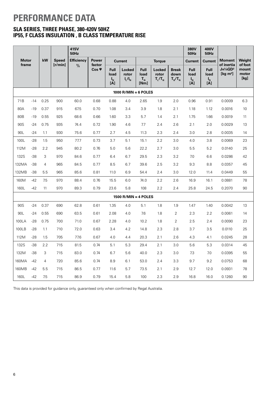# **PERFORMANCE DATA**

# **SLA SERIES, THREE PHASE, 380-420V 50HZ IP55, F CLASS INSULATION , B CLASS TEMPERATURE RISE**

|              |                                                                                                                                                        |                |                                        | 415V<br><b>50Hz</b>                 |                                   |                                                                                                   |                                                                                                |                            |                        |                | 380V<br><b>50Hz</b> | 400V<br><b>50Hz</b> |                             |                   |
|--------------|--------------------------------------------------------------------------------------------------------------------------------------------------------|----------------|----------------------------------------|-------------------------------------|-----------------------------------|---------------------------------------------------------------------------------------------------|------------------------------------------------------------------------------------------------|----------------------------|------------------------|----------------|---------------------|---------------------|-----------------------------|-------------------|
| <b>Motor</b> |                                                                                                                                                        | kW             | <b>Speed</b><br>[r/min]                | <b>Efficiency</b>                   | <b>Power</b><br>factor            |                                                                                                   | <b>Current</b>                                                                                 |                            | <b>Torque</b>          |                | <b>Current</b>      | <b>Current</b>      | <b>Moment</b><br>of inertia | Weight<br>of foot |
| frame        | $\%$<br>Cos $\varphi$<br>Full<br><b>Locked</b><br>load<br>rotor<br>$I_l/I_N$<br>$\begin{array}{c} \mathsf{I}_{\mathsf{N}} \\ \mathsf{[A]} \end{array}$ |                | <b>Full</b><br>load<br>$T_{N}$<br>[Nm] | <b>Locked</b><br>rotor<br>$T_l/T_N$ | <b>Break</b><br>down<br>$T_B/T_N$ | <b>Full</b><br>load<br>$\begin{bmatrix} \mathbf{I}_\text{N} \ \mathbf{I}\mathbf{A} \end{bmatrix}$ | <b>Full</b><br>load<br>$\begin{bmatrix} \mathbf{I}_\text{N} \\ \text{I}\text{A} \end{bmatrix}$ | $J=1/4GD^2$<br>[kg $m^2$ ] | mount<br>motor<br>[kg] |                |                     |                     |                             |                   |
|              |                                                                                                                                                        |                |                                        |                                     |                                   |                                                                                                   | $1000$ R/MIN = 6 POLES                                                                         |                            |                        |                |                     |                     |                             |                   |
| 71B          | $-14$                                                                                                                                                  | 0.25           | 900                                    | 60.0                                | 0.68                              | 0.88                                                                                              | 4.0                                                                                            | 2.65                       | 1.9                    | 2.0            | 0.96                | 0.91                | 0.0009                      | 6.3               |
| 80A          | $-19$                                                                                                                                                  | 0.37           | 915                                    | 67.5                                | 0.70                              | 1.08                                                                                              | 3.4                                                                                            | 3.9                        | 1.8                    | 2.1            | 1.18                | 1.12                | 0.0016                      | 10                |
| 80B          | $-19$                                                                                                                                                  | 0.55           | 925                                    | 68.6                                | 0.66                              | 1.60                                                                                              | 3.3                                                                                            | 5.7                        | 1.4                    | 2.1            | 1.75                | 1.66                | 0.0019                      | 11                |
| 90S          | $-24$                                                                                                                                                  | 0.75           | 935                                    | 74.4                                | 0.72                              | 1.90                                                                                              | 4.6                                                                                            | 7.7                        | 2.4                    | 2.6            | 2.1                 | 2.0                 | 0.0029                      | 13                |
| 90L          | $-24$                                                                                                                                                  | 1.1            | 930                                    | 75.6                                | 0.77                              | 2.7                                                                                               | 4.5                                                                                            | 11.3                       | 2.3                    | 2.4            | 3.0                 | 2.8                 | 0.0035                      | 14                |
| 100L         | $-28$                                                                                                                                                  | 1.5            | 950                                    | 77.7                                | 0.73                              | 3.7                                                                                               | 5.1                                                                                            | 15.1                       | 2.2                    | 3.0            | 4.0                 | 3.8                 | 0.0069                      | 23                |
| 112M         | $-28$                                                                                                                                                  | 2.2            | 945                                    | 80.2                                | 0.76                              | 5.0                                                                                               | 5.6                                                                                            | 22.2                       | 2.7                    | 3.0            | 5.5                 | 5.2                 | 0.0140                      | 25                |
| 132S         | $-38$                                                                                                                                                  | 3              | 970                                    | 84.6                                | 0.77                              | 6.4                                                                                               | 6.7                                                                                            | 29.5                       | 2.3                    | 3.2            | 7.0                 | 6.6                 | 0.0286                      | 42                |
| 132MA        | $-38$                                                                                                                                                  | $\overline{4}$ | 965                                    | 84.5                                | 0.77                              | 8.5                                                                                               | 6.7                                                                                            | 39.6                       | 2.5                    | 3.2            | 9.3                 | 8.8                 | 0.0357                      | 45                |
| 132MB        | $-38$                                                                                                                                                  | 5.5            | 965                                    | 85.6                                | 0.81                              | 11.0                                                                                              | 6.9                                                                                            | 54.4                       | 2.4                    | 3.0            | 12.0                | 11.4                | 0.0449                      | 55                |
| 160M         | $-42$                                                                                                                                                  | 7.5            | 970                                    | 88.4                                | 0.76                              | 15.5                                                                                              | 6.0                                                                                            | 74.0                       | 2.2                    | 2.6            | 16.9                | 16.1                | 0.0881                      | 78                |
| 160L         | $-42$                                                                                                                                                  | 11             | 970                                    | 89.3                                | 0.79                              | 23.6                                                                                              | 5.8                                                                                            | 108                        | 2.2                    | 2.4            | 25.8                | 24.5                | 0.2070                      | 90                |
|              |                                                                                                                                                        |                |                                        |                                     |                                   |                                                                                                   | 1500 $R/MIN = 4$ POLES                                                                         |                            |                        |                |                     |                     |                             |                   |
| 90S          | $-24$                                                                                                                                                  | 0.37           | 690                                    | 62.8                                | 0.61                              | 1.35                                                                                              | 4.0                                                                                            | 5.1                        | 1.8                    | 1.9            | 1.47                | 1.40                | 0.0042                      | 13                |
| 90L          | $-24$                                                                                                                                                  | 0.55           | 690                                    | 63.5                                | 0.61                              | 2.08                                                                                              | 4.0                                                                                            | 7.6                        | 1.8                    | $\overline{2}$ | 2.3                 | 2.2                 | 0.0061                      | 14                |
| 100LA        | $-28$                                                                                                                                                  | 0.75           | 700                                    | 71.0                                | 0.67                              | 2.28                                                                                              | 4.0                                                                                            | 10.2                       | 1.8                    | $\overline{2}$ | 2.5                 | 2.4                 | 0.0090                      | 23                |
| 100LB        | $-28$                                                                                                                                                  | 1.1            | 710                                    | 72.0                                | 0.63                              | 3.4                                                                                               | 4.2                                                                                            | 14.8                       | 2.3                    | 2.8            | 3.7                 | 3.5                 | 0.0110                      | 25                |
| 112M         | $-28$                                                                                                                                                  | 1.5            | 705                                    | 77.6                                | 0.67                              | 4.0                                                                                               | 4.4                                                                                            | 20.3                       | 2.1                    | 2.6            | 4.3                 | 4.1                 | 0.0245                      | 28                |
| 132S         | $-38$                                                                                                                                                  | 2.2            | 715                                    | 81.5                                | 0.74                              | 5.1                                                                                               | 5.3                                                                                            | 29.4                       | 2.1                    | 3.0            | 5.6                 | 5.3                 | 0.0314                      | 45                |
| 132M         | $-38$                                                                                                                                                  | 3              | 715                                    | 83.0                                | 0.74                              | 6.7                                                                                               | 5.6                                                                                            | 40.0                       | 2.3                    | 3.0            | 7.3                 | 7.0                 | 0.0395                      | 55                |
| 160MA        | $-42$                                                                                                                                                  | $\overline{4}$ | 720                                    | 85.6                                | 0.74                              | 8.9                                                                                               | 6.1                                                                                            | 53.0                       | 2.4                    | 3.3            | 9.7                 | 9.2                 | 0.0753                      | 68                |
| 160MB        | $-42$                                                                                                                                                  | 5.5            | 715                                    | 86.5                                | 0.77                              | 11.6                                                                                              | 5.7                                                                                            | 73.5                       | 2.1                    | 2.9            | 12.7                | 12.0                | 0.0931                      | 78                |
| 160L         | $-42$                                                                                                                                                  | 7.5            | 715                                    | 86.9                                | 0.79                              | 15.4                                                                                              | 5.8                                                                                            | 100                        | 2.3                    | 2.9            | 16.8                | 16.0                | 0.1260                      | 90                |

This data is provided for guidance only, guaranteed only when confirmed by Regal Australia.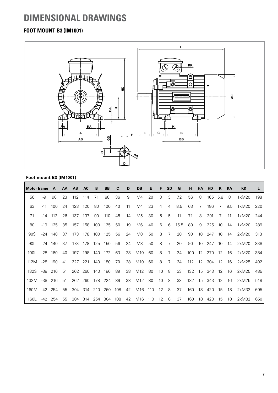# **DIMENSIONAL DRAWINGS**

# **FOOT MOUNT B3 (IM1001)**



### **Foot mount B3 (IM1001)**

| <b>Motor frame</b> |       | $\mathbf{A}$ | AA | <b>AB</b> | <b>AC</b> | B   | <b>BB</b> | С   | D  | DB              | Е   | F                 | <b>GD</b>      | G    | н   | <b>HA</b>         | <b>HD</b>  | K    | <b>KA</b> | KK    |     |
|--------------------|-------|--------------|----|-----------|-----------|-----|-----------|-----|----|-----------------|-----|-------------------|----------------|------|-----|-------------------|------------|------|-----------|-------|-----|
| 56                 | -9    | 90           | 23 | 112       | 114       | 71  | 88        | 36  | 9  | M4              | 20  | 3                 | 3              | 7.2  | 56  | 8                 | 165        | 5.8  | 8         | 1xM20 | 198 |
| 63                 | $-11$ | 100          | 24 | 123       | 120       | 80  | 100       | 40  | 11 | M4              | 23  | $\overline{4}$    | $\overline{4}$ | 8.5  | 63  | 7                 | 186        | 7    | 9.5       | 1xM20 | 220 |
| 71                 | -14   | 112          | 26 | 137       | 137       | 90  | 110       | 45  | 14 | M5              | 30  | 5                 | 5              | 11   | 71  | 8                 | 201        | 7    | 11        | 1xM20 | 244 |
| 80                 | $-19$ | 125          | 35 | 157       | 158       | 100 | 125       | 50  | 19 | M6              | 40  | 6                 | 6              | 15.5 | 80  | 9                 | 225        | 10   | 14        | 1xM20 | 289 |
| 90S                | -24   | 140          | 37 | 173       | 178       | 100 | 125       | 56  | 24 | M8              | 50  | 8                 | $\overline{7}$ | 20   | 90  | 10 <sup>°</sup>   | 247        | 10   | 14        | 2xM20 | 313 |
| 90L                | -24   | 140          | 37 | 173       | 178       | 125 | 150       | 56  | 24 | M8              | 50  | 8                 | 7              | 20   | 90  | 10 <sup>°</sup>   | 247        | 10   | 14        | 2xM20 | 338 |
| 100L               | -28   | 160          | 40 | 197       | 198       | 140 | 172       | 63  | 28 | M10             | 60  | 8                 | $\overline{7}$ | 24   | 100 | 12                | 270        | 12   | 16        | 2xM20 | 384 |
| 112M               | -28   | 190          | 41 | 227       | 221       | 140 | 180       | 70  | 28 | M <sub>10</sub> | 60  | 8                 | $\overline{7}$ | 24   | 112 | $12 \overline{ }$ | 304        | 12   | 16        | 2xM25 | 402 |
| 132S               |       | $-38$ 216    | 51 |           | 262 260   | 140 | 186       | 89  | 38 | M12             | 80  | 10                | 8              | 33   |     |                   | 132 15 343 | - 12 | 16        | 2xM25 | 485 |
| 132M               |       | $-38$ 216    | 51 |           | 262 260   | 178 | -224      | 89  | 38 | M12             | 80  | 10                | 8              | 33   | 132 |                   | 15 343     | -12  | 16        | 2xM25 | 518 |
| 160M               | $-42$ | 254          | 55 | 304       | 314       | 210 | 260       | 108 | 42 | M16             | 110 | $12 \overline{ }$ | 8              | 37   | 160 | 18                | 420        | 15   | 18        | 2xM32 | 605 |
| 1601               | -42   | 254          | 55 | 304       | 314       | 254 | 304       | 108 | 42 | M16             | 110 | 12                | 8              | 37   | 160 | 18                | 420        | 15   | 18        | 2xM32 | 650 |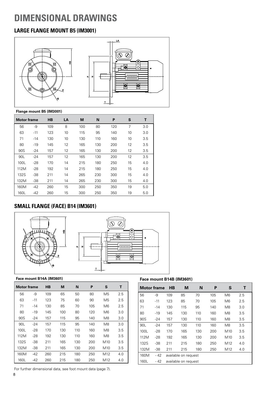# **DIMENSIONAL DRAWINGS**

# **LARGE FLANGE MOUNT B5 (IM3001)**



### **Flange mount B5 (IM3001)**

| <b>Motor frame</b> |       | <b>HB</b> | LA | M   | N   | P   | S  | Т   |
|--------------------|-------|-----------|----|-----|-----|-----|----|-----|
| 56                 | -9    | 109       | 8  | 100 | 80  | 120 | 7  | 3.0 |
| 63                 | $-11$ | 123       | 10 | 115 | 95  | 140 | 10 | 3.0 |
| 71                 | $-14$ | 130       | 10 | 130 | 110 | 160 | 10 | 3.5 |
| 80                 | $-19$ | 145       | 12 | 165 | 130 | 200 | 12 | 3.5 |
| 90S                | $-24$ | 157       | 12 | 165 | 130 | 200 | 12 | 3.5 |
| 90L                | $-24$ | 157       | 12 | 165 | 130 | 200 | 12 | 3.5 |
| 100L               | $-28$ | 170       | 14 | 215 | 180 | 250 | 15 | 4.0 |
| 112M               | $-28$ | 192       | 14 | 215 | 180 | 250 | 15 | 4.0 |
| 132S               | $-38$ | 211       | 14 | 265 | 230 | 300 | 15 | 4.0 |
| 132M               | $-38$ | 211       | 14 | 265 | 230 | 300 | 15 | 4.0 |
| 160M               | $-42$ | 260       | 15 | 300 | 250 | 350 | 19 | 5.0 |
| 160L               | $-42$ | 260       | 15 | 300 | 250 | 350 | 19 | 5.0 |

# **SMALL FLANGE (FACE) B14 (IM3601)**





### **Face mount B14A (IM3601)**

| Motor frame     |       | <b>HB</b> | М   | N   | P   | S               | т   |
|-----------------|-------|-----------|-----|-----|-----|-----------------|-----|
| 56              | -9    | 109       | 65  | 50  | 80  | M <sub>5</sub>  | 2.5 |
| 63              | -11   | 123       | 75  | 60  | 90  | M5              | 2.5 |
| 71              | $-14$ | 130       | 85  | 70  | 105 | M6              | 2.5 |
| 80              | -19   | 145       | 100 | 80  | 120 | M6              | 3.0 |
| 90S             | $-24$ | 157       | 115 | 95  | 140 | M8              | 3.0 |
| 90 <sub>l</sub> | $-24$ | 157       | 115 | 95  | 140 | M8              | 3.0 |
| 100L            | $-28$ | 170       | 130 | 110 | 160 | M8              | 3.5 |
| 112M            | $-28$ | 192       | 130 | 110 | 160 | M8              | 3.5 |
| 132S            | -38   | 211       | 165 | 130 | 200 | M <sub>10</sub> | 3.5 |
| 132M            | $-38$ | 211       | 165 | 130 | 200 | M <sub>10</sub> | 3.5 |
| 160M            | $-42$ | 260       | 215 | 180 | 250 | M <sub>12</sub> | 4.0 |
| 160L            | -42   | 260       | 215 | 180 | 250 | M12             | 4.0 |

### **Face mount B14B (IM3601)**

| <b>Motor frame</b> |       | <b>HB</b>            | M                    | N   | P   | S               | т   |  |
|--------------------|-------|----------------------|----------------------|-----|-----|-----------------|-----|--|
| 56                 | -9    | 109                  | 85                   | 70  | 105 | M <sub>6</sub>  | 2.5 |  |
| 63                 | $-11$ | 123                  | 85                   | 70  | 105 | M <sub>6</sub>  | 2.5 |  |
| 71                 | $-14$ | 130                  | 115                  | 95  | 140 | M8              | 3.0 |  |
| 80                 | -19   | 145                  | 130                  | 110 | 160 | M8              | 3.5 |  |
| 90S                | -24   | 157                  | 130                  | 110 | 160 | M8              | 3.5 |  |
| 90L                | $-24$ | 157                  | 130                  | 110 | 160 | M <sub>8</sub>  | 3.5 |  |
| 100L               | $-28$ | 170                  | 165                  | 130 | 200 | M <sub>10</sub> | 3.5 |  |
| 112M               | $-28$ | 192                  | 165                  | 130 | 200 | M <sub>10</sub> | 3.5 |  |
| 132S               | $-38$ | 211                  | 215                  | 180 | 250 | M12             | 4.0 |  |
| 132M               | $-38$ | 211                  | 215                  | 180 | 250 | M12             | 4.0 |  |
| 160M               | - 42  |                      | available on request |     |     |                 |     |  |
| 160L               | - 42  | available on request |                      |     |     |                 |     |  |

For further dimensional data, see foot mount data (page 7).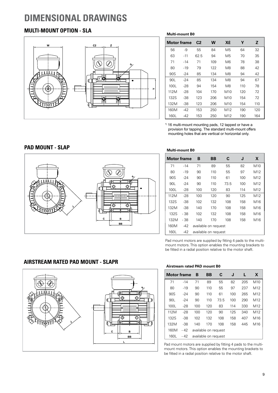# **DIMENSIONAL DRAWINGS**

# **MULTI-MOUNT OPTION - SLA**



**Multi-mount B0**

| <b>Motor frame</b> |       | C <sub>2</sub> | W   | XÉ              | Υ   | Z   |
|--------------------|-------|----------------|-----|-----------------|-----|-----|
| 56                 | -9    | 55             | 84  | M <sub>5</sub>  | 64  | 32  |
| 63                 | $-11$ | 62.5           | 94  | M5              | 70  | 35  |
| 71                 | $-14$ | 71             | 109 | M6              | 78  | 38  |
| 80                 | -19   | 79             | 122 | M8              | 88  | 42  |
| 90S                | $-24$ | 85             | 134 | M8              | 94  | 42  |
| 90L                | $-24$ | 85             | 134 | M8              | 94  | 67  |
| 100L               | $-28$ | 94             | 154 | M <sub>8</sub>  | 110 | 78  |
| 112M               | $-28$ | 104            | 170 | M <sub>10</sub> | 120 | 72  |
| 132S               | -38   | 123            | 206 | M <sub>10</sub> | 154 | 72  |
| 132M               | -38   | 123            | 206 | M <sub>10</sub> | 154 | 110 |
| 160M               | $-42$ | 153            | 250 | M12             | 190 | 120 |
| 160L               | $-42$ | 153            | 250 | M12             | 190 | 164 |

1) 16 multi-mount mounting pads, 12 tapped or have a provision for tapping. The standard multi-mount offers mounting holes that are vertical or horizontal only.

### **PAD MOUNT - SLAP**



**Multi-mount B0**

| <b>Motor frame</b> |       | в   | ВB                   | C    | J   | X               |
|--------------------|-------|-----|----------------------|------|-----|-----------------|
| 71                 | $-14$ | 71  | 89                   | 55   | 82  | M10             |
| 80                 | $-19$ | 90  | 110                  | 55   | 97  | M12             |
| 90S                | $-24$ | 90  | 110                  | 61   | 100 | M12             |
| 90L                | $-24$ | 90  | 110                  | 73.5 | 100 | M12             |
| 100L               | $-28$ | 100 | 120                  | 83   | 114 | M <sub>12</sub> |
| 112M               | -28   | 100 | 120                  | 90   | 125 | M <sub>12</sub> |
| 132S               | -38   | 102 | 132                  | 108  | 158 | M <sub>16</sub> |
| 132M               | -38   | 140 | 170                  | 108  | 158 | M16             |
| 132S               | - 38  | 102 | 132                  | 108  | 158 | M16             |
| 132M               | - 38  | 140 | 170                  | 108  | 158 | M16             |
| 160M               | $-42$ |     | available on request |      |     |                 |
| 160L               | -42   |     | available on request |      |     |                 |

Pad mount motors are supplied by fitting 4 pads to the multimount motors. This option enables the mounting brackets to be fitted in a radial position relative to the motor shaft.

# **AIRSTREAM RATED PAD MOUNT - SLAPR**



#### **Airstream rated PAD mount B0**

| <b>Motor frame</b> |       | B                    | BB  | C    | J   | н   | X               |
|--------------------|-------|----------------------|-----|------|-----|-----|-----------------|
| 71                 | $-14$ | 71                   | 89  | 55   | 82  | 205 | M <sub>10</sub> |
| 80                 | $-19$ | 90                   | 110 | 55   | 97  | 237 | M12             |
| 90S                | $-24$ | 90                   | 110 | 61   | 100 | 265 | M12             |
| 90L                | $-24$ | 90                   | 110 | 73.5 | 100 | 290 | M <sub>12</sub> |
| 100L               | $-28$ | 100                  | 120 | 83   | 114 | 330 | M <sub>12</sub> |
| 112M               | -28   | 100                  | 120 | 90   | 125 | 340 | M12             |
| 132S               | $-38$ | 102                  | 132 | 108  | 158 | 407 | M16             |
| 132M               | $-38$ | 140                  | 170 | 108  | 158 | 445 | M <sub>16</sub> |
| 160M               | - 42  | available on request |     |      |     |     |                 |
| 160L               | - 42  | available on request |     |      |     |     |                 |

Pad mount motors are supplied by fitting 4 pads to the multimount motors. This option enables the mounting brackets to be fitted in a radial position relative to the motor shaft.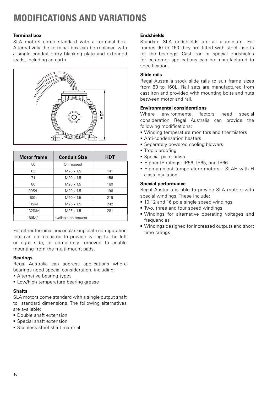# **MODIFICATIONS AND VARIATIONS**

### **Terminal box**

SLA motors come standard with a terminal box. Alternatively the terminal box can be replaced with a single conduit entry blanking plate and extended leads, including an earth.



| <b>Motor frame</b> | <b>Conduit Size</b>  | <b>HDT</b> |
|--------------------|----------------------|------------|
| 56                 | On request           |            |
| 63                 | $M20 \times 1.5$     | 141        |
| 71                 | $M20 \times 1.5$     | 156        |
| 80                 | $M20 \times 1.5$     | 180        |
| 90S/L              | $M20 \times 1.5$     | 196        |
| 100L               | $M20 \times 1.5$     | 219        |
| 112M               | $M25 \times 1.5$     | 242        |
| 132S/M             | $M25 \times 1.5$     | 281        |
| 160M/L             | available on request |            |

For either terminal box or blanking plate configuration feet can be relocated to provide wiring to the left or right side, or completely removed to enable mounting from the multi-mount pads.

### **Bearings**

Regal Australia can address applications where bearings need special consideration, including:

- **Alternative bearing types**
- **ELow/high temperature bearing grease**

### **Shafts**

SLA motors come standard with a single output shaft to standard dimensions. The following alternatives are available:

- **Double shaft extension**
- **Special shaft extension**
- **Stainless steel shaft material**

### **Endshields**

Standard SLA endshields are all aluminium. For frames 90 to 160 they are fitted with steel inserts for the bearings. Cast iron or special endshields for customer applications can be manufactured to specification.

### **Slide rails**

Regal Australia stock slide rails to suit frame sizes from 80 to 160L. Rail sets are manufactured from cast iron and provided with mounting bolts and nuts between motor and rail.

### **Environmental considerations**

Where environmental factors need special consideration Regal Australia can provide the following modifications:

- Winding temperature monitors and thermistors
- **Anti-condensation heaters**
- **Separately powered cooling blowers**
- **Tropic proofing**
- Special paint finish
- Higher IP ratings: IP56, IP65, and IP66
- High ambient temperature motors SLAH with H class insulation

### **Special performance**

Regal Australia is able to provide SLA motors with special windings. These include:

- 10,12 and 16 pole single speed windings
- Two, three and four speed windings
- Windings for alternative operating voltages and frequencies
- Windings designed for increased outputs and short time ratings